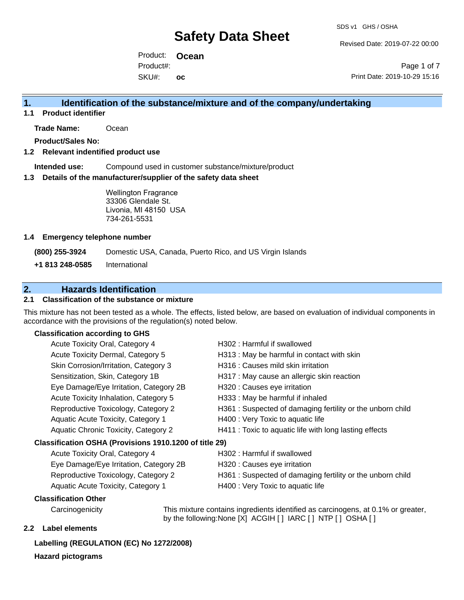Revised Date: 2019-07-22 00:00

Product: **Ocean**  SKU#: Product#: **oc**

Page 1 of 7 Print Date: 2019-10-29 15:16

### **1. Identification of the substance/mixture and of the company/undertaking**

**1.1 Product identifier**

**Trade Name:** Ocean

**Product/Sales No:**

#### **1.2 Relevant indentified product use**

**Intended use:** Compound used in customer substance/mixture/product

#### **1.3 Details of the manufacturer/supplier of the safety data sheet**

Wellington Fragrance 33306 Glendale St. Livonia, MI 48150 USA 734-261-5531

#### **1.4 Emergency telephone number**

**(800) 255-3924** Domestic USA, Canada, Puerto Rico, and US Virgin Islands

**+1 813 248-0585** International

### **2. Hazards Identification**

#### **2.1 Classification of the substance or mixture**

This mixture has not been tested as a whole. The effects, listed below, are based on evaluation of individual components in accordance with the provisions of the regulation(s) noted below.

### **Classification according to GHS**

| Acute Toxicity Oral, Category 4                        | H302: Harmful if swallowed                                 |
|--------------------------------------------------------|------------------------------------------------------------|
| Acute Toxicity Dermal, Category 5                      | H313 : May be harmful in contact with skin                 |
| Skin Corrosion/Irritation, Category 3                  | H316 : Causes mild skin irritation                         |
| Sensitization, Skin, Category 1B                       | H317 : May cause an allergic skin reaction                 |
| Eye Damage/Eye Irritation, Category 2B                 | H320 : Causes eye irritation                               |
| Acute Toxicity Inhalation, Category 5                  | H333: May be harmful if inhaled                            |
| Reproductive Toxicology, Category 2                    | H361 : Suspected of damaging fertility or the unborn child |
| Aquatic Acute Toxicity, Category 1                     | H400 : Very Toxic to aquatic life                          |
| Aquatic Chronic Toxicity, Category 2                   | H411 : Toxic to aquatic life with long lasting effects     |
| Classification OSHA (Provisions 1910.1200 of title 29) |                                                            |
| Acute Toxicity Oral, Category 4                        | H302 : Harmful if swallowed                                |
| $E_{1/2}$ Damago/ $E_{1/2}$ Irritation Catogon, $2R$   | 4220 · Coucos ovo irritation                               |

| Acute Toxicity Oral, Category 4        | H302 : Harmful if swallowed                               |
|----------------------------------------|-----------------------------------------------------------|
| Eye Damage/Eye Irritation, Category 2B | H320 : Causes eye irritation                              |
| Reproductive Toxicology, Category 2    | H361: Suspected of damaging fertility or the unborn child |
| Aquatic Acute Toxicity, Category 1     | H400 : Very Toxic to aquatic life                         |
|                                        |                                                           |

#### **Classification Other**

Carcinogenicity This mixture contains ingredients identified as carcinogens, at 0.1% or greater, by the following:None [X] ACGIH [ ] IARC [ ] NTP [ ] OSHA [ ]

#### **2.2 Label elements**

#### **Labelling (REGULATION (EC) No 1272/2008)**

**Hazard pictograms**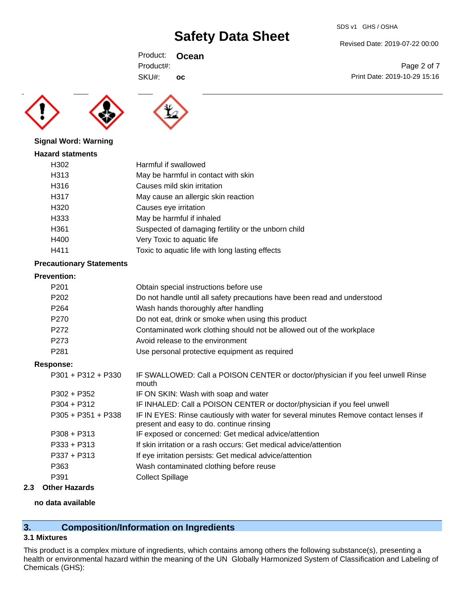Revised Date: 2019-07-22 00:00

Print Date: 2019-10-29 15:16

Page 2 of 7

Product: **Ocean**  SKU#: Product#: **oc**





|  |  | <b>Signal Word: Warning</b> |
|--|--|-----------------------------|
|--|--|-----------------------------|

| <b>Hazard statments</b> |                                                     |
|-------------------------|-----------------------------------------------------|
| H302                    | Harmful if swallowed                                |
| H313                    | May be harmful in contact with skin                 |
| H316                    | Causes mild skin irritation                         |
| H317                    | May cause an allergic skin reaction                 |
| H320                    | Causes eye irritation                               |
| H333                    | May be harmful if inhaled                           |
| H361                    | Suspected of damaging fertility or the unborn child |
| H400                    | Very Toxic to aquatic life                          |
| H411                    | Toxic to aquatic life with long lasting effects     |

#### **Precautionary Statements**

#### **Prevention:**

| P <sub>201</sub>     | Obtain special instructions before use                                                                                           |
|----------------------|----------------------------------------------------------------------------------------------------------------------------------|
| P <sub>202</sub>     | Do not handle until all safety precautions have been read and understood                                                         |
| P <sub>264</sub>     | Wash hands thoroughly after handling                                                                                             |
| P <sub>270</sub>     | Do not eat, drink or smoke when using this product                                                                               |
| P272                 | Contaminated work clothing should not be allowed out of the workplace                                                            |
| P273                 | Avoid release to the environment                                                                                                 |
| P <sub>281</sub>     | Use personal protective equipment as required                                                                                    |
| Response:            |                                                                                                                                  |
| $P301 + P312 + P330$ | IF SWALLOWED: Call a POISON CENTER or doctor/physician if you feel unwell Rinse<br>mouth                                         |
| $P302 + P352$        | IF ON SKIN: Wash with soap and water                                                                                             |
| $P304 + P312$        | IF INHALED: Call a POISON CENTER or doctor/physician if you feel unwell                                                          |
| $P305 + P351 + P338$ | IF IN EYES: Rinse cautiously with water for several minutes Remove contact lenses if<br>present and easy to do. continue rinsing |
| $P308 + P313$        | IF exposed or concerned: Get medical advice/attention                                                                            |
| $P333 + P313$        | If skin irritation or a rash occurs: Get medical advice/attention                                                                |
| $P337 + P313$        | If eye irritation persists: Get medical advice/attention                                                                         |
| P363                 | Wash contaminated clothing before reuse                                                                                          |
| P391                 | <b>Collect Spillage</b>                                                                                                          |
|                      |                                                                                                                                  |

### **2.3 Other Hazards**

#### **no data available**

### **3. Composition/Information on Ingredients**

#### **3.1 Mixtures**

This product is a complex mixture of ingredients, which contains among others the following substance(s), presenting a health or environmental hazard within the meaning of the UN Globally Harmonized System of Classification and Labeling of Chemicals (GHS):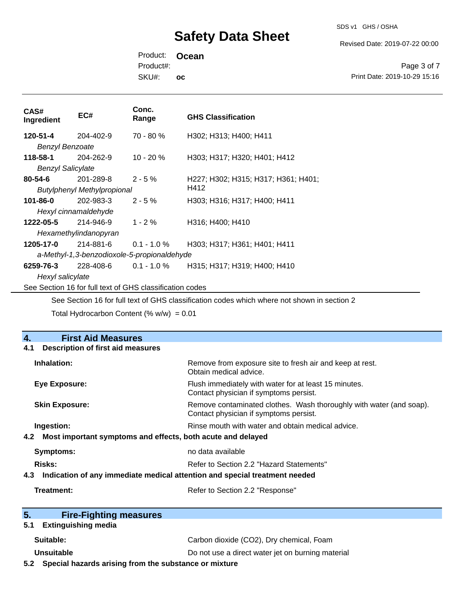SDS v1 GHS / OSHA

Revised Date: 2019-07-22 00:00

Product: **Ocean**  SKU#: Product#: **oc**

Page 3 of 7 Print Date: 2019-10-29 15:16

| CAS#<br>Ingredient                                                                          | EC#       | Conc.<br>Range | <b>GHS Classification</b>           |  |
|---------------------------------------------------------------------------------------------|-----------|----------------|-------------------------------------|--|
| 120-51-4                                                                                    | 204-402-9 | 70 - 80 %      | H302; H313; H400; H411              |  |
| <b>Benzyl Benzoate</b>                                                                      |           |                |                                     |  |
| 118-58-1                                                                                    | 204-262-9 | $10 - 20 \%$   | H303; H317; H320; H401; H412        |  |
| <b>Benzyl Salicylate</b>                                                                    |           |                |                                     |  |
| $80 - 54 - 6$                                                                               | 201-289-8 | $2 - 5%$       | H227; H302; H315; H317; H361; H401; |  |
| H412<br><b>Butylphenyl Methylpropional</b>                                                  |           |                |                                     |  |
| $101 - 86 - 0$                                                                              | 202-983-3 | $2 - 5%$       | H303; H316; H317; H400; H411        |  |
| Hexyl cinnamaldehyde                                                                        |           |                |                                     |  |
| 1222-05-5                                                                                   | 214-946-9 | $1 - 2 \%$     | H316; H400; H410                    |  |
| Hexamethylindanopyran                                                                       |           |                |                                     |  |
| 1205-17-0                                                                                   | 214-881-6 | $0.1 - 1.0 %$  | H303; H317; H361; H401; H411        |  |
| a-Methyl-1,3-benzodioxole-5-propionaldehyde                                                 |           |                |                                     |  |
| 6259-76-3                                                                                   | 228-408-6 | $0.1 - 1.0 \%$ | H315; H317; H319; H400; H410        |  |
| Hexyl salicylate                                                                            |           |                |                                     |  |
| See Section 16 for full text of GHS classification codes                                    |           |                |                                     |  |
| See Section 16 for full text of GHS classification codes which where not shown in section 2 |           |                |                                     |  |
| Total Hydrocarbon Content (% $w/w$ ) = 0.01                                                 |           |                |                                     |  |
|                                                                                             |           |                |                                     |  |

#### **4. First Aid Measures 4.1 Description of first aid measures**

| 4.1 Description of thist and ineasures                                            |                                                                                                               |  |  |
|-----------------------------------------------------------------------------------|---------------------------------------------------------------------------------------------------------------|--|--|
| Inhalation:                                                                       | Remove from exposure site to fresh air and keep at rest.<br>Obtain medical advice.                            |  |  |
| <b>Eye Exposure:</b>                                                              | Flush immediately with water for at least 15 minutes.<br>Contact physician if symptoms persist.               |  |  |
| <b>Skin Exposure:</b>                                                             | Remove contaminated clothes. Wash thoroughly with water (and soap).<br>Contact physician if symptoms persist. |  |  |
| Ingestion:                                                                        | Rinse mouth with water and obtain medical advice.                                                             |  |  |
| Most important symptoms and effects, both acute and delayed<br>4.2                |                                                                                                               |  |  |
| Symptoms:                                                                         | no data available                                                                                             |  |  |
| <b>Risks:</b>                                                                     | Refer to Section 2.2 "Hazard Statements"                                                                      |  |  |
| Indication of any immediate medical attention and special treatment needed<br>4.3 |                                                                                                               |  |  |
| Treatment:                                                                        | Refer to Section 2.2 "Response"                                                                               |  |  |
| 5.<br><b>Fire-Fighting measures</b>                                               |                                                                                                               |  |  |
| 5.1<br><b>Extinguishing media</b>                                                 |                                                                                                               |  |  |
| Suitable:                                                                         | Carbon dioxide (CO2), Dry chemical, Foam                                                                      |  |  |

**Unsuitable Do not use a direct water jet on burning material** 

**5.2 Special hazards arising from the substance or mixture**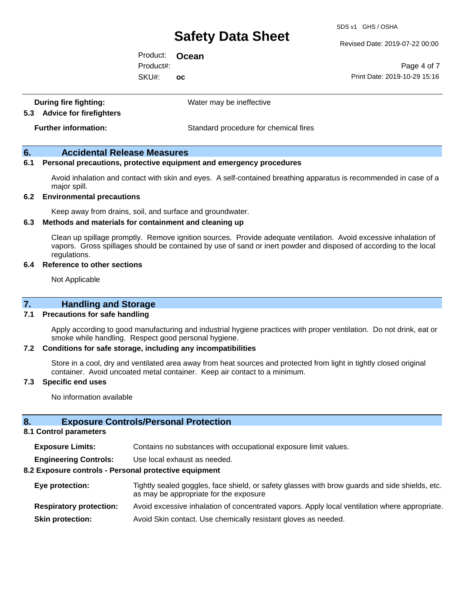SDS v1 GHS / OSHA

Revised Date: 2019-07-22 00:00

Product: **Ocean**  SKU#: Product#: **oc**

Page 4 of 7 Print Date: 2019-10-29 15:16

| During fire fighting:<br>5.3 Advice for firefighters | Water may be ineffective              |
|------------------------------------------------------|---------------------------------------|
| <b>Further information:</b>                          | Standard procedure for chemical fires |

#### **6. Accidental Release Measures**

#### **6.1 Personal precautions, protective equipment and emergency procedures**

Avoid inhalation and contact with skin and eyes. A self-contained breathing apparatus is recommended in case of a major spill.

#### **6.2 Environmental precautions**

Keep away from drains, soil, and surface and groundwater.

#### **6.3 Methods and materials for containment and cleaning up**

Clean up spillage promptly. Remove ignition sources. Provide adequate ventilation. Avoid excessive inhalation of vapors. Gross spillages should be contained by use of sand or inert powder and disposed of according to the local regulations.

#### **6.4 Reference to other sections**

Not Applicable

#### **7.1 Precautions for safe handling**

Apply according to good manufacturing and industrial hygiene practices with proper ventilation. Do not drink, eat or smoke while handling. Respect good personal hygiene.

#### **7.2 Conditions for safe storage, including any incompatibilities**

Store in a cool, dry and ventilated area away from heat sources and protected from light in tightly closed original container. Avoid uncoated metal container. Keep air contact to a minimum.

#### **7.3 Specific end uses**

No information available

#### **8. Exposure Controls/Personal Protection**

#### **8.1 Control parameters**

| <b>Exposure Limits:</b> |  |  |  |  | Contains no substances with occupational exposure limit values. |
|-------------------------|--|--|--|--|-----------------------------------------------------------------|
|-------------------------|--|--|--|--|-----------------------------------------------------------------|

**Engineering Controls:** Use local exhaust as needed.

#### **8.2 Exposure controls - Personal protective equipment**

| Eye protection:                | Tightly sealed goggles, face shield, or safety glasses with brow guards and side shields, etc.<br>as may be appropriate for the exposure |
|--------------------------------|------------------------------------------------------------------------------------------------------------------------------------------|
| <b>Respiratory protection:</b> | Avoid excessive inhalation of concentrated vapors. Apply local ventilation where appropriate.                                            |
| <b>Skin protection:</b>        | Avoid Skin contact. Use chemically resistant gloves as needed.                                                                           |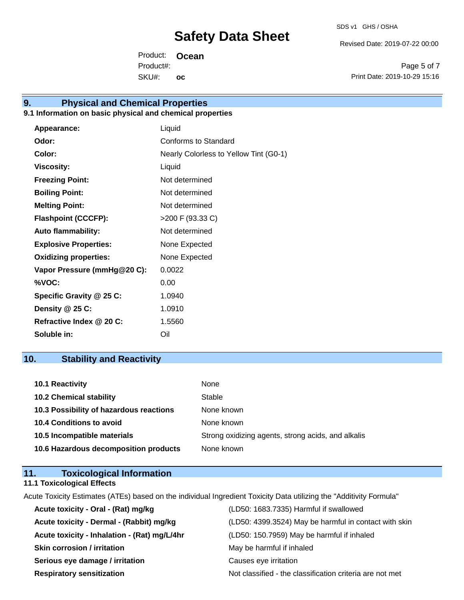Revised Date: 2019-07-22 00:00

Product: **Ocean**  SKU#: Product#: **oc**

Page 5 of 7 Print Date: 2019-10-29 15:16

# **9. Physical and Chemical Properties**

### **9.1 Information on basic physical and chemical properties**

| Appearance:                  | Liquid                                 |
|------------------------------|----------------------------------------|
| Odor:                        | Conforms to Standard                   |
| Color:                       | Nearly Colorless to Yellow Tint (G0-1) |
| <b>Viscosity:</b>            | Liquid                                 |
| <b>Freezing Point:</b>       | Not determined                         |
| <b>Boiling Point:</b>        | Not determined                         |
| <b>Melting Point:</b>        | Not determined                         |
| <b>Flashpoint (CCCFP):</b>   | >200 F (93.33 C)                       |
| <b>Auto flammability:</b>    | Not determined                         |
| <b>Explosive Properties:</b> | None Expected                          |
| <b>Oxidizing properties:</b> | None Expected                          |
| Vapor Pressure (mmHg@20 C):  | 0.0022                                 |
| %VOC:                        | 0.00                                   |
| Specific Gravity @ 25 C:     | 1.0940                                 |
| Density @ 25 C:              | 1.0910                                 |
| Refractive Index @ 20 C:     | 1.5560                                 |
| Soluble in:                  | Oil                                    |

# **10. Stability and Reactivity**

| <b>10.1 Reactivity</b>                  | None                                               |
|-----------------------------------------|----------------------------------------------------|
| <b>10.2 Chemical stability</b>          | Stable                                             |
| 10.3 Possibility of hazardous reactions | None known                                         |
| <b>10.4 Conditions to avoid</b>         | None known                                         |
| 10.5 Incompatible materials             | Strong oxidizing agents, strong acids, and alkalis |
| 10.6 Hazardous decomposition products   | None known                                         |

### **11. Toxicological Information 11.1 Toxicological Effects**

Acute Toxicity Estimates (ATEs) based on the individual Ingredient Toxicity Data utilizing the "Additivity Formula"

| Acute toxicity - Oral - (Rat) mg/kg          | (LD50: 1683.7335) Harmful if swallowed                   |
|----------------------------------------------|----------------------------------------------------------|
| Acute toxicity - Dermal - (Rabbit) mg/kg     | (LD50: 4399.3524) May be harmful in contact with skin    |
| Acute toxicity - Inhalation - (Rat) mg/L/4hr | (LD50: 150.7959) May be harmful if inhaled               |
| <b>Skin corrosion / irritation</b>           | May be harmful if inhaled                                |
| Serious eye damage / irritation              | Causes eye irritation                                    |
| <b>Respiratory sensitization</b>             | Not classified - the classification criteria are not met |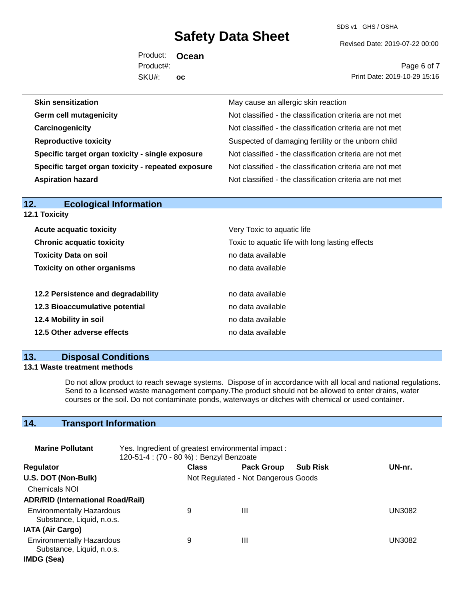SDS v1 GHS / OSHA

Revised Date: 2019-07-22 00:00

Product: **Ocean**  SKU#: Product#: **oc**

Page 6 of 7 Print Date: 2019-10-29 15:16

| <b>Skin sensitization</b>                          | May cause an allergic skin reaction                      |
|----------------------------------------------------|----------------------------------------------------------|
| <b>Germ cell mutagenicity</b>                      | Not classified - the classification criteria are not met |
| Carcinogenicity                                    | Not classified - the classification criteria are not met |
| <b>Reproductive toxicity</b>                       | Suspected of damaging fertility or the unborn child      |
| Specific target organ toxicity - single exposure   | Not classified - the classification criteria are not met |
| Specific target organ toxicity - repeated exposure | Not classified - the classification criteria are not met |
| <b>Aspiration hazard</b>                           | Not classified - the classification criteria are not met |
|                                                    |                                                          |

| 12.<br><b>Ecological Information</b> |                                                 |
|--------------------------------------|-------------------------------------------------|
| 12.1 Toxicity                        |                                                 |
| <b>Acute acquatic toxicity</b>       | Very Toxic to aquatic life                      |
| <b>Chronic acquatic toxicity</b>     | Toxic to aquatic life with long lasting effects |
| <b>Toxicity Data on soil</b>         | no data available                               |
| <b>Toxicity on other organisms</b>   | no data available                               |
| 12.2 Persistence and degradability   | no data available                               |
| 12.3 Bioaccumulative potential       | no data available                               |
| 12.4 Mobility in soil                | no data available                               |
| 12.5 Other adverse effects           | no data available                               |
|                                      |                                                 |

### **13. Disposal Conditions**

#### **13.1 Waste treatment methods**

Do not allow product to reach sewage systems. Dispose of in accordance with all local and national regulations. Send to a licensed waste management company.The product should not be allowed to enter drains, water courses or the soil. Do not contaminate ponds, waterways or ditches with chemical or used container.

# **14. Transport Information**

| <b>Marine Pollutant</b>                                       | Yes. Ingredient of greatest environmental impact:<br>120-51-4 : (70 - 80 %) : Benzyl Benzoate |              |                                     |                 |               |
|---------------------------------------------------------------|-----------------------------------------------------------------------------------------------|--------------|-------------------------------------|-----------------|---------------|
| <b>Regulator</b>                                              |                                                                                               | <b>Class</b> | <b>Pack Group</b>                   | <b>Sub Risk</b> | UN-nr.        |
| U.S. DOT (Non-Bulk)                                           |                                                                                               |              | Not Regulated - Not Dangerous Goods |                 |               |
| <b>Chemicals NOI</b>                                          |                                                                                               |              |                                     |                 |               |
| <b>ADR/RID (International Road/Rail)</b>                      |                                                                                               |              |                                     |                 |               |
| <b>Environmentally Hazardous</b><br>Substance, Liquid, n.o.s. |                                                                                               | 9            | Ш                                   |                 | UN3082        |
| <b>IATA (Air Cargo)</b>                                       |                                                                                               |              |                                     |                 |               |
| <b>Environmentally Hazardous</b><br>Substance, Liquid, n.o.s. |                                                                                               | 9            | Ш                                   |                 | <b>UN3082</b> |
| IMDG (Sea)                                                    |                                                                                               |              |                                     |                 |               |